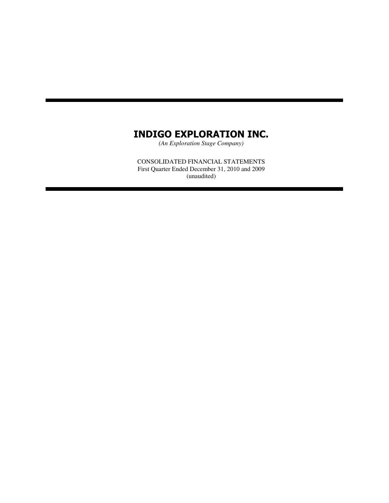*(An Exploration Stage Company)*

CONSOLIDATED FINANCIAL STATEMENTS First Quarter Ended December 31, 2010 and 2009 (unaudited)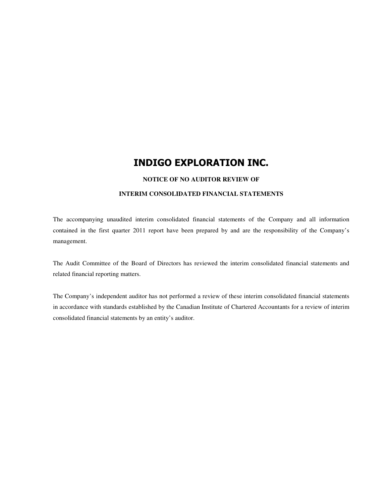#### **NOTICE OF NO AUDITOR REVIEW OF**

#### **INTERIM CONSOLIDATED FINANCIAL STATEMENTS**

The accompanying unaudited interim consolidated financial statements of the Company and all information contained in the first quarter 2011 report have been prepared by and are the responsibility of the Company's management.

The Audit Committee of the Board of Directors has reviewed the interim consolidated financial statements and related financial reporting matters.

The Company's independent auditor has not performed a review of these interim consolidated financial statements in accordance with standards established by the Canadian Institute of Chartered Accountants for a review of interim consolidated financial statements by an entity's auditor.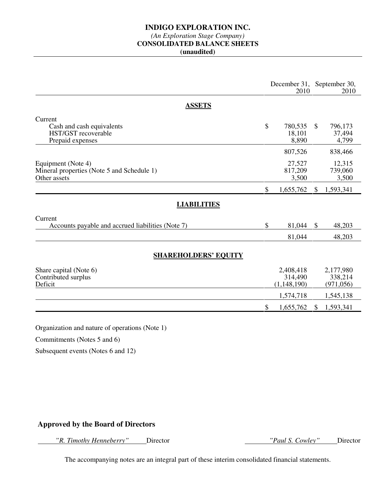## *(An Exploration Stage Company)*

### **CONSOLIDATED BALANCE SHEETS**

**(unaudited)** 

|                                                                                 | December 31, September 30,<br>2010 |                                       |               | 2010                               |
|---------------------------------------------------------------------------------|------------------------------------|---------------------------------------|---------------|------------------------------------|
| <b>ASSETS</b>                                                                   |                                    |                                       |               |                                    |
| Current<br>Cash and cash equivalents<br>HST/GST recoverable<br>Prepaid expenses | \$                                 | 780,535<br>18,101<br>8,890            | $\mathcal{S}$ | 796,173<br>37,494<br>4,799         |
| Equipment (Note 4)                                                              |                                    | 807,526<br>27,527                     |               | 838,466<br>12,315                  |
| Mineral properties (Note 5 and Schedule 1)<br>Other assets                      |                                    | 817,209<br>3,500                      |               | 739,060<br>3,500                   |
| <b>LIABILITIES</b>                                                              | \$                                 | 1,655,762                             | \$            | 1,593,341                          |
| Current<br>Accounts payable and accrued liabilities (Note 7)                    | $\mathcal{S}$                      | 81,044<br>81,044                      | \$            | 48,203<br>48,203                   |
| <b>SHAREHOLDERS' EQUITY</b>                                                     |                                    |                                       |               |                                    |
| Share capital (Note 6)<br>Contributed surplus<br>Deficit                        |                                    | 2,408,418<br>314,490<br>(1, 148, 190) |               | 2,177,980<br>338,214<br>(971, 056) |
|                                                                                 | \$                                 | 1,574,718<br>1,655,762                | \$            | 1,545,138<br>1,593,341             |
| Organization and nature of operations (Note 1)                                  |                                    |                                       |               |                                    |

Commitments (Notes 5 and 6)

Subsequent events (Notes 6 and 12)

## **Approved by the Board of Directors**

 *"R. Timothy Henneberry"* Director *"Paul S. Cowley"* Director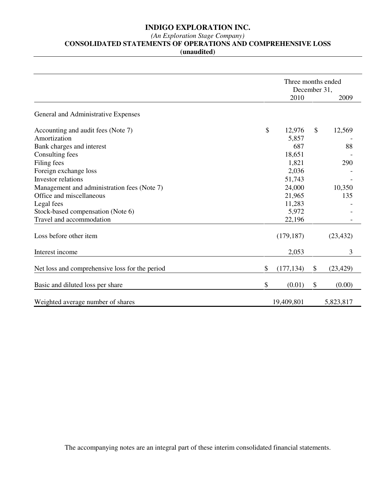#### *(An Exploration Stage Company)*

**CONSOLIDATED STATEMENTS OF OPERATIONS AND COMPREHENSIVE LOSS** 

**(unaudited)** 

|                                                |                  | Three months ended<br>December 31, |           |  |  |
|------------------------------------------------|------------------|------------------------------------|-----------|--|--|
|                                                | 2010             |                                    | 2009      |  |  |
| General and Administrative Expenses            |                  |                                    |           |  |  |
| Accounting and audit fees (Note 7)             | \$<br>12,976     | $\mathcal{S}$                      | 12,569    |  |  |
| Amortization                                   | 5,857            |                                    |           |  |  |
| Bank charges and interest                      | 687              |                                    | 88        |  |  |
| Consulting fees                                | 18,651           |                                    |           |  |  |
| Filing fees                                    | 1,821            |                                    | 290       |  |  |
| Foreign exchange loss                          | 2,036            |                                    |           |  |  |
| Investor relations                             | 51,743           |                                    |           |  |  |
| Management and administration fees (Note 7)    | 24,000           |                                    | 10,350    |  |  |
| Office and miscellaneous                       | 21,965           |                                    | 135       |  |  |
| Legal fees                                     | 11,283           |                                    |           |  |  |
| Stock-based compensation (Note 6)              | 5,972            |                                    |           |  |  |
| Travel and accommodation                       | 22,196           |                                    |           |  |  |
| Loss before other item                         | (179, 187)       |                                    | (23, 432) |  |  |
| Interest income                                | 2,053            |                                    | 3         |  |  |
| Net loss and comprehensive loss for the period | \$<br>(177, 134) | \$                                 | (23, 429) |  |  |
| Basic and diluted loss per share               | \$<br>(0.01)     | \$                                 | (0.00)    |  |  |
| Weighted average number of shares              | 19,409,801       |                                    | 5,823,817 |  |  |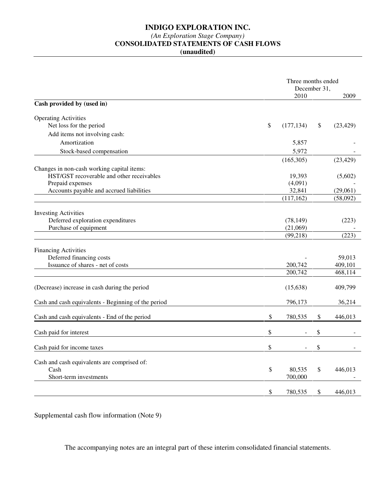### *(An Exploration Stage Company)*

## **CONSOLIDATED STATEMENTS OF CASH FLOWS**

**(unaudited)** 

|                                                     | Three months ended<br>December 31, |    |           |  |  |
|-----------------------------------------------------|------------------------------------|----|-----------|--|--|
|                                                     | 2010                               |    | 2009      |  |  |
| Cash provided by (used in)                          |                                    |    |           |  |  |
| <b>Operating Activities</b>                         |                                    |    |           |  |  |
| Net loss for the period                             | \$<br>(177, 134)                   | \$ | (23, 429) |  |  |
| Add items not involving cash:                       |                                    |    |           |  |  |
| Amortization                                        | 5,857                              |    |           |  |  |
| Stock-based compensation                            | 5,972                              |    |           |  |  |
|                                                     | (165,305)                          |    | (23, 429) |  |  |
| Changes in non-cash working capital items:          |                                    |    |           |  |  |
| HST/GST recoverable and other receivables           | 19,393                             |    | (5,602)   |  |  |
| Prepaid expenses                                    | (4,091)                            |    |           |  |  |
| Accounts payable and accrued liabilities            | 32,841                             |    | (29,061)  |  |  |
|                                                     | (117, 162)                         |    | (58,092)  |  |  |
| <b>Investing Activities</b>                         |                                    |    |           |  |  |
| Deferred exploration expenditures                   | (78, 149)                          |    | (223)     |  |  |
| Purchase of equipment                               | (21,069)                           |    |           |  |  |
|                                                     | (99, 218)                          |    | (223)     |  |  |
|                                                     |                                    |    |           |  |  |
| <b>Financing Activities</b>                         |                                    |    |           |  |  |
| Deferred financing costs                            |                                    |    | 59,013    |  |  |
| Issuance of shares - net of costs                   | 200,742                            |    | 409,101   |  |  |
|                                                     | 200,742                            |    | 468,114   |  |  |
| (Decrease) increase in cash during the period       | (15, 638)                          |    | 409,799   |  |  |
|                                                     |                                    |    |           |  |  |
| Cash and cash equivalents - Beginning of the period | 796,173                            |    | 36,214    |  |  |
| Cash and cash equivalents - End of the period       | \$<br>780,535                      | \$ | 446,013   |  |  |
| Cash paid for interest                              | \$                                 | \$ |           |  |  |
|                                                     |                                    |    |           |  |  |
| Cash paid for income taxes                          | \$                                 | \$ |           |  |  |
| Cash and cash equivalents are comprised of:         |                                    |    |           |  |  |
| Cash                                                | \$<br>80,535                       | \$ | 446,013   |  |  |
| Short-term investments                              | 700,000                            |    |           |  |  |
|                                                     |                                    |    |           |  |  |
|                                                     | \$<br>780,535                      | \$ | 446,013   |  |  |

Supplemental cash flow information (Note 9)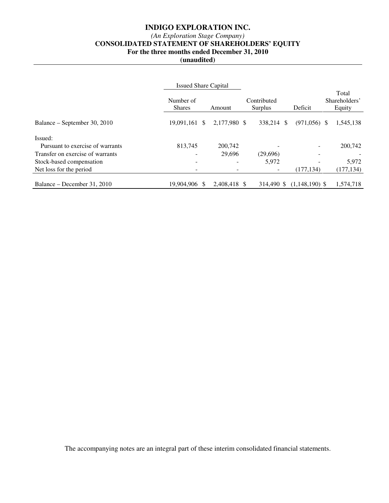### *(An Exploration Stage Company)*

# **CONSOLIDATED STATEMENT OF SHAREHOLDERS' EQUITY**

**For the three months ended December 31, 2010** 

**(unaudited)** 

|                                  | <b>Issued Share Capital</b> |              |                          |                  |                                  |
|----------------------------------|-----------------------------|--------------|--------------------------|------------------|----------------------------------|
|                                  | Number of<br><b>Shares</b>  | Amount       | Contributed<br>Surplus   | Deficit          | Total<br>Shareholders'<br>Equity |
| Balance – September 30, 2010     | 19,091,161 \$               | 2,177,980 \$ | 338.214<br><sup>\$</sup> | $(971,056)$ \$   | 1,545,138                        |
| Issued:                          |                             |              |                          |                  |                                  |
| Pursuant to exercise of warrants | 813,745                     | 200,742      |                          |                  | 200,742                          |
| Transfer on exercise of warrants |                             | 29,696       | (29,696)                 |                  |                                  |
| Stock-based compensation         |                             | ۰            | 5,972                    |                  | 5,972                            |
| Net loss for the period          |                             |              |                          | (177, 134)       | (177, 134)                       |
|                                  |                             |              |                          |                  |                                  |
| Balance – December 31, 2010      | 19.904.906 \$               | 2.408.418 \$ | 314.490 \$               | $(1,148,190)$ \$ | 1.574.718                        |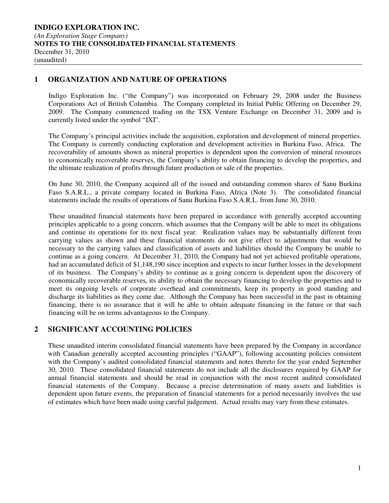### **1 ORGANIZATION AND NATURE OF OPERATIONS**

Indigo Exploration Inc. ("the Company") was incorporated on February 29, 2008 under the Business Corporations Act of British Columbia. The Company completed its Initial Public Offering on December 29, 2009. The Company commenced trading on the TSX Venture Exchange on December 31, 2009 and is currently listed under the symbol "IXI".

The Company's principal activities include the acquisition, exploration and development of mineral properties. The Company is currently conducting exploration and development activities in Burkina Faso, Africa. The recoverability of amounts shown as mineral properties is dependent upon the conversion of mineral resources to economically recoverable reserves, the Company's ability to obtain financing to develop the properties, and the ultimate realization of profits through future production or sale of the properties.

On June 30, 2010, the Company acquired all of the issued and outstanding common shares of Sanu Burkina Faso S.A.R.L., a private company located in Burkina Faso, Africa (Note 3). The consolidated financial statements include the results of operations of Sanu Burkina Faso S.A.R.L. from June 30, 2010.

These unaudited financial statements have been prepared in accordance with generally accepted accounting principles applicable to a going concern, which assumes that the Company will be able to meet its obligations and continue its operations for its next fiscal year. Realization values may be substantially different from carrying values as shown and these financial statements do not give effect to adjustments that would be necessary to the carrying values and classification of assets and liabilities should the Company be unable to continue as a going concern. At December 31, 2010, the Company had not yet achieved profitable operations, had an accumulated deficit of \$1,148,190 since inception and expects to incur further losses in the development of its business. The Company's ability to continue as a going concern is dependent upon the discovery of economically recoverable reserves, its ability to obtain the necessary financing to develop the properties and to meet its ongoing levels of corporate overhead and commitments, keep its property in good standing and discharge its liabilities as they come due. Although the Company has been successful in the past in obtaining financing, there is no assurance that it will be able to obtain adequate financing in the future or that such financing will be on terms advantageous to the Company.

### **2 SIGNIFICANT ACCOUNTING POLICIES**

These unaudited interim consolidated financial statements have been prepared by the Company in accordance with Canadian generally accepted accounting principles ("GAAP"), following accounting policies consistent with the Company's audited consolidated financial statements and notes thereto for the year ended September 30, 2010. These consolidated financial statements do not include all the disclosures required by GAAP for annual financial statements and should be read in conjunction with the most recent audited consolidated financial statements of the Company. Because a precise determination of many assets and liabilities is dependent upon future events, the preparation of financial statements for a period necessarily involves the use of estimates which have been made using careful judgement. Actual results may vary from these estimates.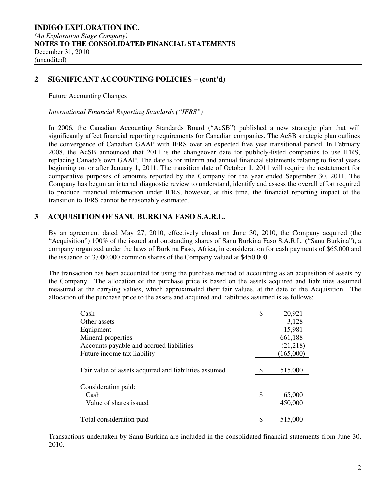### **2 SIGNIFICANT ACCOUNTING POLICIES – (cont'd)**

Future Accounting Changes

*International Financial Reporting Standards ("IFRS")* 

In 2006, the Canadian Accounting Standards Board ("AcSB") published a new strategic plan that will significantly affect financial reporting requirements for Canadian companies. The AcSB strategic plan outlines the convergence of Canadian GAAP with IFRS over an expected five year transitional period. In February 2008, the AcSB announced that 2011 is the changeover date for publicly-listed companies to use IFRS, replacing Canada's own GAAP. The date is for interim and annual financial statements relating to fiscal years beginning on or after January 1, 2011. The transition date of October 1, 2011 will require the restatement for comparative purposes of amounts reported by the Company for the year ended September 30, 2011. The Company has begun an internal diagnostic review to understand, identify and assess the overall effort required to produce financial information under IFRS, however, at this time, the financial reporting impact of the transition to IFRS cannot be reasonably estimated.

### **3 ACQUISITION OF SANU BURKINA FASO S.A.R.L.**

By an agreement dated May 27, 2010, effectively closed on June 30, 2010, the Company acquired (the "Acquisition") 100% of the issued and outstanding shares of Sanu Burkina Faso S.A.R.L. ("Sanu Burkina"), a company organized under the laws of Burkina Faso, Africa, in consideration for cash payments of \$65,000 and the issuance of 3,000,000 common shares of the Company valued at \$450,000.

The transaction has been accounted for using the purchase method of accounting as an acquisition of assets by the Company. The allocation of the purchase price is based on the assets acquired and liabilities assumed measured at the carrying values, which approximated their fair values, at the date of the Acquisition. The allocation of the purchase price to the assets and acquired and liabilities assumed is as follows:

| Cash                                                  | \$<br>20,921  |
|-------------------------------------------------------|---------------|
| Other assets                                          | 3,128         |
| Equipment                                             | 15,981        |
| Mineral properties                                    | 661,188       |
| Accounts payable and accrued liabilities              | (21,218)      |
| Future income tax liability                           | (165,000)     |
| Fair value of assets acquired and liabilities assumed | \$<br>515,000 |
| Consideration paid:                                   |               |
| Cash                                                  | \$<br>65,000  |
| Value of shares issued                                | 450,000       |
| Total consideration paid                              | \$<br>515,000 |

Transactions undertaken by Sanu Burkina are included in the consolidated financial statements from June 30, 2010.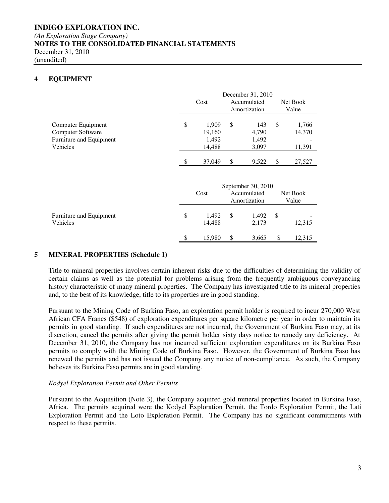#### **INDIGO EXPLORATION INC.**  *(An Exploration Stage Company)*  **NOTES TO THE CONSOLIDATED FINANCIAL STATEMENTS**  December 31, 2010 (unaudited)

### **4 EQUIPMENT**

|                                                                                |    | December 31, 2010                  |    |                                                   |    |                           |
|--------------------------------------------------------------------------------|----|------------------------------------|----|---------------------------------------------------|----|---------------------------|
|                                                                                |    | Cost                               |    | Accumulated<br>Amortization                       |    | Net Book<br>Value         |
| Computer Equipment<br>Computer Software<br>Furniture and Equipment<br>Vehicles | \$ | 1,909<br>19,160<br>1,492<br>14,488 | \$ | 143<br>4,790<br>1,492<br>3,097                    | \$ | 1,766<br>14,370<br>11,391 |
|                                                                                | \$ | 37,049                             | \$ | 9,522                                             | \$ | 27,527                    |
|                                                                                |    | Cost                               |    | September 30, 2010<br>Accumulated<br>Amortization |    | Net Book<br>Value         |
| Furniture and Equipment<br>Vehicles                                            | \$ | 1,492<br>14,488                    | \$ | 1,492<br>2,173                                    | \$ | 12,315                    |
|                                                                                | \$ | 15,980                             | \$ | 3,665                                             | \$ | 12,315                    |

#### **5 MINERAL PROPERTIES (Schedule 1)**

Title to mineral properties involves certain inherent risks due to the difficulties of determining the validity of certain claims as well as the potential for problems arising from the frequently ambiguous conveyancing history characteristic of many mineral properties. The Company has investigated title to its mineral properties and, to the best of its knowledge, title to its properties are in good standing.

Pursuant to the Mining Code of Burkina Faso, an exploration permit holder is required to incur 270,000 West African CFA Francs (\$548) of exploration expenditures per square kilometre per year in order to maintain its permits in good standing. If such expenditures are not incurred, the Government of Burkina Faso may, at its discretion, cancel the permits after giving the permit holder sixty days notice to remedy any deficiency. At December 31, 2010, the Company has not incurred sufficient exploration expenditures on its Burkina Faso permits to comply with the Mining Code of Burkina Faso. However, the Government of Burkina Faso has renewed the permits and has not issued the Company any notice of non-compliance. As such, the Company believes its Burkina Faso permits are in good standing.

#### *Kodyel Exploration Permit and Other Permits*

Pursuant to the Acquisition (Note 3), the Company acquired gold mineral properties located in Burkina Faso, Africa. The permits acquired were the Kodyel Exploration Permit, the Tordo Exploration Permit, the Lati Exploration Permit and the Loto Exploration Permit. The Company has no significant commitments with respect to these permits.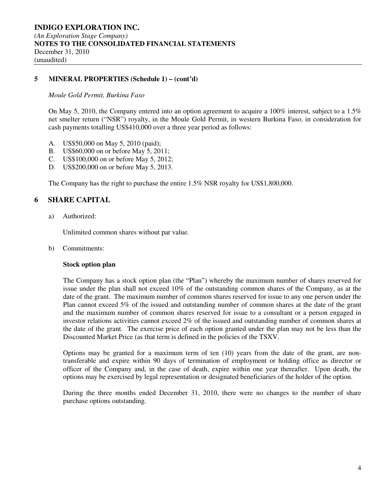### **5 MINERAL PROPERTIES (Schedule 1) – (cont'd)**

#### *Moule Gold Permit, Burkina Faso*

On May 5, 2010, the Company entered into an option agreement to acquire a 100% interest, subject to a 1.5% net smelter return ("NSR") royalty, in the Moule Gold Permit, in western Burkina Faso, in consideration for cash payments totalling US\$410,000 over a three year period as follows:

- A. US\$50,000 on May 5, 2010 (paid);
- B. US\$60,000 on or before May 5, 2011;
- C. US\$100,000 on or before May 5, 2012;
- D. US\$200,000 on or before May 5, 2013.

The Company has the right to purchase the entire 1.5% NSR royalty for US\$1,800,000.

### **6 SHARE CAPITAL**

a) Authorized:

Unlimited common shares without par value.

b) Commitments:

#### **Stock option plan**

The Company has a stock option plan (the "Plan") whereby the maximum number of shares reserved for issue under the plan shall not exceed 10% of the outstanding common shares of the Company, as at the date of the grant. The maximum number of common shares reserved for issue to any one person under the Plan cannot exceed 5% of the issued and outstanding number of common shares at the date of the grant and the maximum number of common shares reserved for issue to a consultant or a person engaged in investor relations activities cannot exceed 2% of the issued and outstanding number of common shares at the date of the grant. The exercise price of each option granted under the plan may not be less than the Discounted Market Price (as that term is defined in the policies of the TSXV.

Options may be granted for a maximum term of ten (10) years from the date of the grant, are nontransferable and expire within 90 days of termination of employment or holding office as director or officer of the Company and, in the case of death, expire within one year thereafter. Upon death, the options may be exercised by legal representation or designated beneficiaries of the holder of the option.

During the three months ended December 31, 2010, there were no changes to the number of share purchase options outstanding.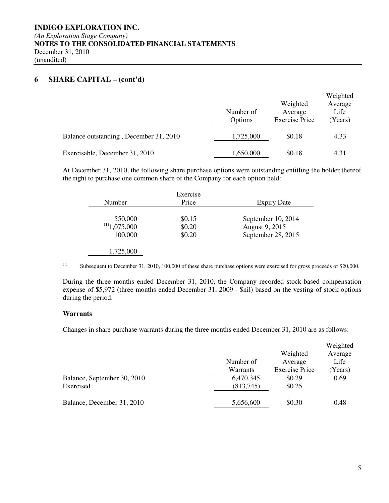### **6 SHARE CAPITAL – (cont'd)**

|                                        | Number of<br>Options | Weighted<br>Average<br><b>Exercise Price</b> | Weighted<br>Average<br>Life<br>(Years) |
|----------------------------------------|----------------------|----------------------------------------------|----------------------------------------|
| Balance outstanding, December 31, 2010 | 1,725,000            | \$0.18                                       | 4.33                                   |
| Exercisable, December 31, 2010         | 1,650,000            | \$0.18                                       | 4.31                                   |

At December 31, 2010, the following share purchase options were outstanding entitling the holder thereof the right to purchase one common share of the Company for each option held:

| Number            | Exercise<br>Price | <b>Expiry Date</b> |
|-------------------|-------------------|--------------------|
| 550,000           | \$0.15            | September 10, 2014 |
| $^{(1)}1,075,000$ | \$0.20            | August 9, 2015     |
| 100,000           | \$0.20            | September 28, 2015 |

(1) Subsequent to December 31, 2010, 100,000 of these share purchase options were exercised for gross proceeds of \$20,000.

During the three months ended December 31, 2010, the Company recorded stock-based compensation expense of \$5,972 (three months ended December 31, 2009 - \$nil) based on the vesting of stock options during the period.

#### **Warrants**

Changes in share purchase warrants during the three months ended December 31, 2010 are as follows:

|                                          | Number of              | Weighted<br>Average   | Weighted<br>Average<br>Life |
|------------------------------------------|------------------------|-----------------------|-----------------------------|
|                                          | Warrants               | <b>Exercise Price</b> | (Years)                     |
| Balance, September 30, 2010<br>Exercised | 6,470,345<br>(813,745) | \$0.29<br>\$0.25      | 0.69                        |
| Balance, December 31, 2010               | 5,656,600              | \$0.30                | 0.48                        |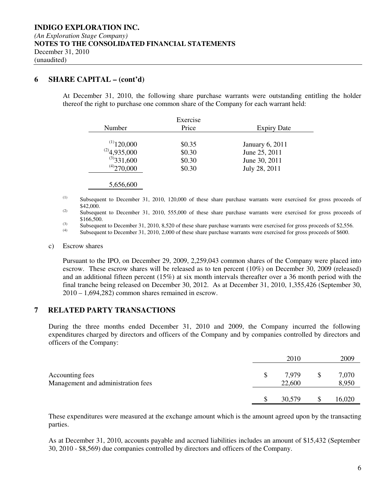### **6 SHARE CAPITAL – (cont'd)**

At December 31, 2010, the following share purchase warrants were outstanding entitling the holder thereof the right to purchase one common share of the Company for each warrant held:

| Number            | Exercise<br>Price | <b>Expiry Date</b>     |
|-------------------|-------------------|------------------------|
| $^{(1)}$ 120,000  | \$0.35            | <b>January 6, 2011</b> |
| $^{(2)}4,935,000$ | \$0.30            | June 25, 2011          |
| $^{(3)}$ 331,600  | \$0.30            | June 30, 2011          |
| $^{(4)}$ 270,000  | \$0.30            | July 28, 2011          |

#### 5,656,600

(1) Subsequent to December 31, 2010, 120,000 of these share purchase warrants were exercised for gross proceeds of \$42,000.

<sup>(2)</sup> Subsequent to December 31, 2010, 555,000 of these share purchase warrants were exercised for gross proceeds of \$166,500.

(3) Subsequent to December 31, 2010, 8,520 of these share purchase warrants were exercised for gross proceeds of \$2,556.<br>(4) Subsequent to December 21, 2010, 2,000 of these share numbers warrants were exercised for gross

Subsequent to December 31, 2010, 2,000 of these share purchase warrants were exercised for gross proceeds of \$600.

#### c) Escrow shares

Pursuant to the IPO, on December 29, 2009, 2,259,043 common shares of the Company were placed into escrow. These escrow shares will be released as to ten percent (10%) on December 30, 2009 (released) and an additional fifteen percent (15%) at six month intervals thereafter over a 36 month period with the final tranche being released on December 30, 2012. As at December 31, 2010, 1,355,426 (September 30, 2010 – 1,694,282) common shares remained in escrow.

#### **7 RELATED PARTY TRANSACTIONS**

During the three months ended December 31, 2010 and 2009, the Company incurred the following expenditures charged by directors and officers of the Company and by companies controlled by directors and officers of the Company:

|                                                       | 2010            | 2009           |
|-------------------------------------------------------|-----------------|----------------|
| Accounting fees<br>Management and administration fees | 7.979<br>22,600 | 7,070<br>8,950 |
|                                                       | 30,579          | 16,020         |

These expenditures were measured at the exchange amount which is the amount agreed upon by the transacting parties.

As at December 31, 2010, accounts payable and accrued liabilities includes an amount of \$15,432 (September 30, 2010 - \$8,569) due companies controlled by directors and officers of the Company.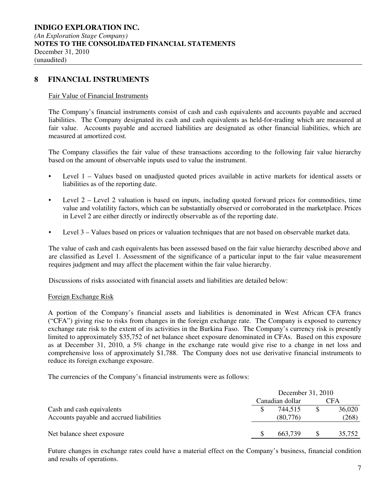### **8 FINANCIAL INSTRUMENTS**

#### Fair Value of Financial Instruments

The Company's financial instruments consist of cash and cash equivalents and accounts payable and accrued liabilities. The Company designated its cash and cash equivalents as held-for-trading which are measured at fair value. Accounts payable and accrued liabilities are designated as other financial liabilities, which are measured at amortized cost.

The Company classifies the fair value of these transactions according to the following fair value hierarchy based on the amount of observable inputs used to value the instrument.

- Level 1 Values based on unadjusted quoted prices available in active markets for identical assets or liabilities as of the reporting date.
- Level 2 Level 2 valuation is based on inputs, including quoted forward prices for commodities, time value and volatility factors, which can be substantially observed or corroborated in the marketplace. Prices in Level 2 are either directly or indirectly observable as of the reporting date.
- Level 3 Values based on prices or valuation techniques that are not based on observable market data.

The value of cash and cash equivalents has been assessed based on the fair value hierarchy described above and are classified as Level 1. Assessment of the significance of a particular input to the fair value measurement requires judgment and may affect the placement within the fair value hierarchy.

Discussions of risks associated with financial assets and liabilities are detailed below:

#### Foreign Exchange Risk

A portion of the Company's financial assets and liabilities is denominated in West African CFA francs ("CFA") giving rise to risks from changes in the foreign exchange rate. The Company is exposed to currency exchange rate risk to the extent of its activities in the Burkina Faso. The Company's currency risk is presently limited to approximately \$35,752 of net balance sheet exposure denominated in CFAs. Based on this exposure as at December 31, 2010, a 5% change in the exchange rate would give rise to a change in net loss and comprehensive loss of approximately \$1,788. The Company does not use derivative financial instruments to reduce its foreign exchange exposure.

The currencies of the Company's financial instruments were as follows:

|                                                                       | December 31, 2010   |                 |
|-----------------------------------------------------------------------|---------------------|-----------------|
|                                                                       | Canadian dollar     | CFA             |
| Cash and cash equivalents<br>Accounts payable and accrued liabilities | 744.515<br>(80,776) | 36,020<br>(268) |
| Net balance sheet exposure                                            | 663.739             | 35.752          |

Future changes in exchange rates could have a material effect on the Company's business, financial condition and results of operations.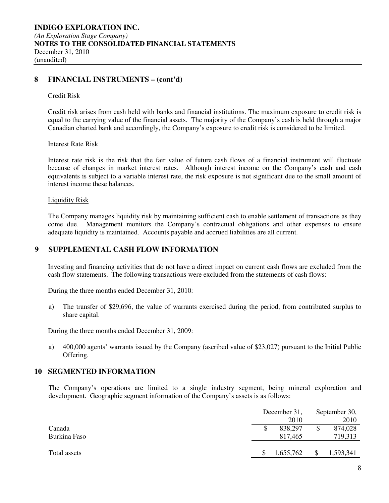### **8 FINANCIAL INSTRUMENTS – (cont'd)**

#### Credit Risk

Credit risk arises from cash held with banks and financial institutions. The maximum exposure to credit risk is equal to the carrying value of the financial assets. The majority of the Company's cash is held through a major Canadian charted bank and accordingly, the Company's exposure to credit risk is considered to be limited.

#### Interest Rate Risk

Interest rate risk is the risk that the fair value of future cash flows of a financial instrument will fluctuate because of changes in market interest rates. Although interest income on the Company's cash and cash equivalents is subject to a variable interest rate, the risk exposure is not significant due to the small amount of interest income these balances.

#### Liquidity Risk

The Company manages liquidity risk by maintaining sufficient cash to enable settlement of transactions as they come due. Management monitors the Company's contractual obligations and other expenses to ensure adequate liquidity is maintained. Accounts payable and accrued liabilities are all current.

### **9 SUPPLEMENTAL CASH FLOW INFORMATION**

Investing and financing activities that do not have a direct impact on current cash flows are excluded from the cash flow statements. The following transactions were excluded from the statements of cash flows:

During the three months ended December 31, 2010:

a) The transfer of \$29,696, the value of warrants exercised during the period, from contributed surplus to share capital.

During the three months ended December 31, 2009:

a) 400,000 agents' warrants issued by the Company (ascribed value of \$23,027) pursuant to the Initial Public Offering.

### **10 SEGMENTED INFORMATION**

The Company's operations are limited to a single industry segment, being mineral exploration and development. Geographic segment information of the Company's assets is as follows:

|              |   | December 31, |              | September 30, |  |  |
|--------------|---|--------------|--------------|---------------|--|--|
|              |   | 2010         |              | 2010          |  |  |
| Canada       | S | 838,297      |              | 874,028       |  |  |
| Burkina Faso |   | 817,465      |              | 719,313       |  |  |
|              |   |              |              |               |  |  |
| Total assets |   | 1,655,762    | <sup>S</sup> | 1,593,341     |  |  |
|              |   |              |              |               |  |  |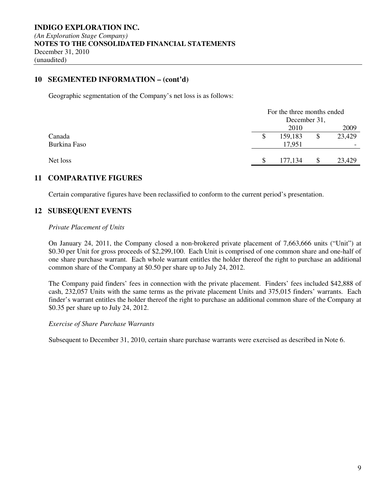### **10 SEGMENTED INFORMATION – (cont'd)**

Geographic segmentation of the Company's net loss is as follows:

|              | For the three months ended<br>December 31, |         |    |        |  |  |  |
|--------------|--------------------------------------------|---------|----|--------|--|--|--|
|              | 2010                                       |         |    |        |  |  |  |
| Canada       | S                                          | 159,183 | \$ | 23,429 |  |  |  |
| Burkina Faso |                                            | 17,951  |    |        |  |  |  |
| Net loss     |                                            | 177,134 |    | 23,429 |  |  |  |

### **11 COMPARATIVE FIGURES**

Certain comparative figures have been reclassified to conform to the current period's presentation.

### **12 SUBSEQUENT EVENTS**

#### *Private Placement of Units*

On January 24, 2011, the Company closed a non-brokered private placement of 7,663,666 units ("Unit") at \$0.30 per Unit for gross proceeds of \$2,299,100. Each Unit is comprised of one common share and one-half of one share purchase warrant. Each whole warrant entitles the holder thereof the right to purchase an additional common share of the Company at \$0.50 per share up to July 24, 2012.

The Company paid finders' fees in connection with the private placement. Finders' fees included \$42,888 of cash, 232,057 Units with the same terms as the private placement Units and 375,015 finders' warrants. Each finder's warrant entitles the holder thereof the right to purchase an additional common share of the Company at \$0.35 per share up to July 24, 2012.

#### *Exercise of Share Purchase Warrants*

Subsequent to December 31, 2010, certain share purchase warrants were exercised as described in Note 6.